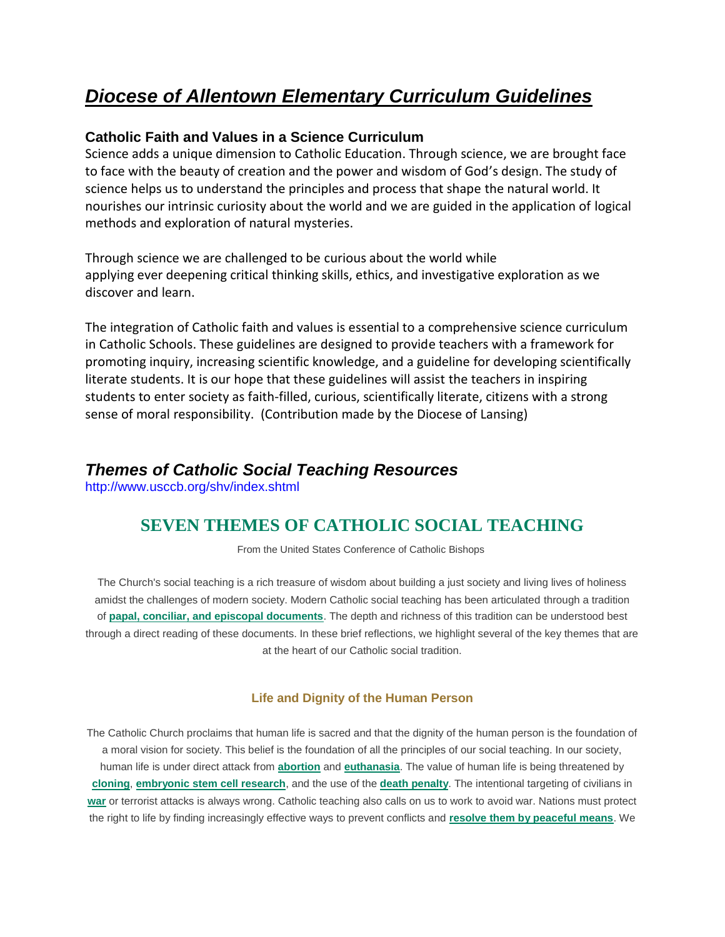# *Diocese of Allentown Elementary Curriculum Guidelines*

## **Catholic Faith and Values in a Science Curriculum**

Science adds a unique dimension to Catholic Education. Through science, we are brought face to face with the beauty of creation and the power and wisdom of God's design. The study of science helps us to understand the principles and process that shape the natural world. It nourishes our intrinsic curiosity about the world and we are guided in the application of logical methods and exploration of natural mysteries.

Through science we are challenged to be curious about the world while applying ever deepening critical thinking skills, ethics, and investigative exploration as we discover and learn.

The integration of Catholic faith and values is essential to a comprehensive science curriculum in Catholic Schools. These guidelines are designed to provide teachers with a framework for promoting inquiry, increasing scientific knowledge, and a guideline for developing scientifically literate students. It is our hope that these guidelines will assist the teachers in inspiring students to enter society as faith-filled, curious, scientifically literate, citizens with a strong sense of moral responsibility. (Contribution made by the Diocese of Lansing)

## *Themes of Catholic Social Teaching Resources*

http://www.usccb.org/shv/index.shtml

# **SEVEN THEMES OF CATHOLIC SOCIAL TEACHING**

From the United States Conference of Catholic Bishops

The Church's social teaching is a rich treasure of wisdom about building a just society and living lives of holiness amidst the challenges of modern society. Modern Catholic social teaching has been articulated through a tradition of **[papal, conciliar, and episcopal documents](http://usccb.org/beliefs-and-teachings/what-we-believe/catholic-social-teaching/foundational-documents.cfm)**. The depth and richness of this tradition can be understood best through a direct reading of these documents. In these brief reflections, we highlight several of the key themes that are at the heart of our Catholic social tradition.

## **Life and Dignity of the Human Person**

The Catholic Church proclaims that human life is sacred and that the dignity of the human person is the foundation of a moral vision for society. This belief is the foundation of all the principles of our social teaching. In our society, human life is under direct attack from **[abortion](http://usccb.org/issues-and-action/human-life-and-dignity/abortion/index.cfm)** and **[euthanasia](http://usccb.org/issues-and-action/human-life-and-dignity/end-of-life/euthanasia/index.cfm)**. The value of human life is being threatened by **[cloning](http://usccb.org/issues-and-action/human-life-and-dignity/cloning/index.cfm)**, **[embryonic stem cell research](http://usccb.org/issues-and-action/human-life-and-dignity/war-and-peace/index.cfm)**, and the use of the **[death penalty](http://usccb.org/issues-and-action/human-life-and-dignity/death-penalty-capital-punishment/index.cfm)**. The intentional targeting of civilians in **[war](http://usccb.org/issues-and-action/human-life-and-dignity/war-and-peace/index.cfm)** or terrorist attacks is always wrong. Catholic teaching also calls on us to work to avoid war. Nations must protect the right to life by finding increasingly effective ways to prevent conflicts and **[resolve them by peaceful means](http://usccb.org/issues-and-action/human-life-and-dignity/war-and-peace/world-day-of-peace.cfm)**. We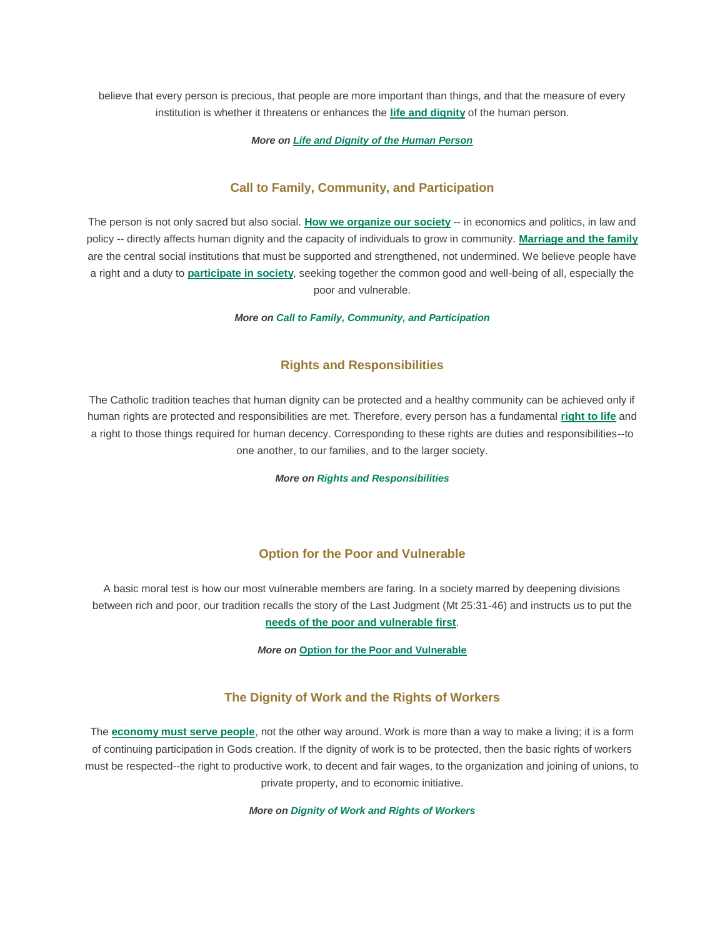believe that every person is precious, that people are more important than things, and that the measure of every institution is whether it threatens or enhances the **[life and dignity](http://usccb.org/issues-and-action/human-life-and-dignity/index.cfm)** of the human person.

#### *More on [Life and Dignity of the Human Person](http://usccb.org/beliefs-and-teachings/what-we-believe/catholic-social-teaching/life-and-dignity-of-the-human-person.cfm)*

## **Call to Family, Community, and Participation**

The person is not only sacred but also social. **[How we organize our society](http://usccb.org/issues-and-action/faithful-citizenship/index.cfm)** -- in economics and politics, in law and policy -- directly affects human dignity and the capacity of individuals to grow in community. **[Marriage and the family](http://usccb.org/issues-and-action/marriage-and-family/index.cfm)** are the central social institutions that must be supported and strengthened, not undermined. We believe people have a right and a duty to **[participate in society](http://usccb.org/about/catholic-campaign-for-human-development/index.cfm)**, seeking together the common good and well-being of all, especially the poor and vulnerable.

#### *More o[n Call to Family, Community, and Participation](http://usccb.org/beliefs-and-teachings/what-we-believe/catholic-social-teaching/call-to-family-community-and-participation.cfm)*

## **Rights and Responsibilities**

The Catholic tradition teaches that human dignity can be protected and a healthy community can be achieved only if human rights are protected and responsibilities are met. Therefore, every person has a fundamental **[right to life](http://usccb.org/about/pro-life-activities/respect-life-program/index.cfm)** and a right to those things required for human decency. Corresponding to these rights are duties and responsibilities--to one another, to our families, and to the larger society.

*More on [Rights and Responsibilities](http://usccb.org/beliefs-and-teachings/what-we-believe/catholic-social-teaching/rights-and-responsibilities.cfm)*

### **Option for the Poor and Vulnerable**

A basic moral test is how our most vulnerable members are faring. In a society marred by deepening divisions between rich and poor, our tradition recalls the story of the Last Judgment (Mt 25:31-46) and instructs us to put the **[needs of the poor and vulnerable first](http://usccb.org/issues-and-action/human-life-and-dignity/economic-justice-economy/index.cfm)**.

*More on* **[Option for the Poor and Vulnerable](http://usccb.org/beliefs-and-teachings/what-we-believe/catholic-social-teaching/option-for-the-poor-and-vulnerable.cfm)**

## **The Dignity of Work and the Rights of Workers**

The **[economy must serve people](http://usccb.org/issues-and-action/human-life-and-dignity/labor-employment/index.cfm)**, not the other way around. Work is more than a way to make a living; it is a form of continuing participation in Gods creation. If the dignity of work is to be protected, then the basic rights of workers must be respected--the right to productive work, to decent and fair wages, to the organization and joining of unions, to private property, and to economic initiative.

*More on [Dignity of Work and Rights of Workers](http://usccb.org/beliefs-and-teachings/what-we-believe/catholic-social-teaching/the-dignity-of-work-and-the-rights-of-workers.cfm)*